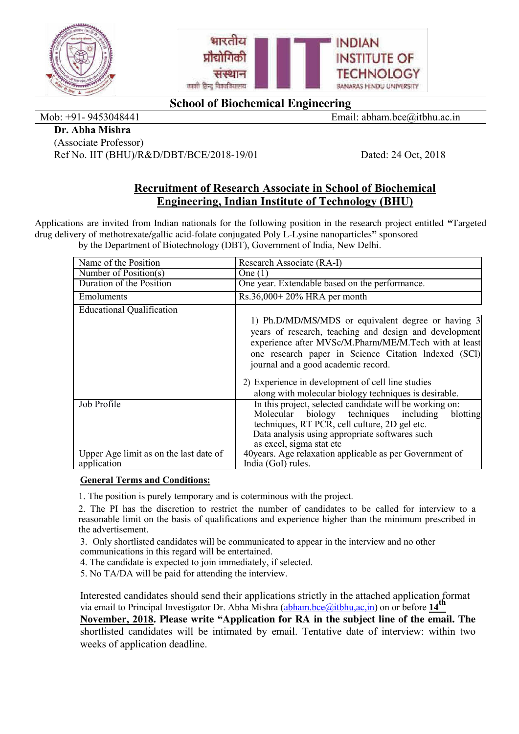



# **School of Biochemical Engineering**

Mob: +91- 9453048441 Email: abham.bce@itbhu.ac.in

#### **Dr. Abha Mishra**

(Associate Professor) Ref No. IIT (BHU)/R&D/DBT/BCE/2018-19/01 Dated: 24 Oct, 2018

## **Recruitment of Research Associate in School of Biochemical Engineering, Indian Institute of Technology (BHU)**

Applications are invited from Indian nationals for the following position in the research project entitled **"**Targeted drug delivery of methotrexate/gallic acid-folate conjugated Poly L-Lysine nanoparticles**"** sponsored by the Department of Biotechnology (DBT), Government of India, New Delhi.

| Name of the Position                                  | Research Associate (RA-I)                                                                                                                                                                                                                                            |  |  |  |
|-------------------------------------------------------|----------------------------------------------------------------------------------------------------------------------------------------------------------------------------------------------------------------------------------------------------------------------|--|--|--|
| Number of Position(s)                                 | One $(1)$                                                                                                                                                                                                                                                            |  |  |  |
| Duration of the Position                              | One year. Extendable based on the performance.                                                                                                                                                                                                                       |  |  |  |
| Emoluments                                            | $Rs.36,000+20%$ HRA per month                                                                                                                                                                                                                                        |  |  |  |
| <b>Educational Qualification</b>                      | 1) Ph.D/MD/MS/MDS or equivalent degree or having 3<br>years of research, teaching and design and development<br>experience after MVSc/M.Pharm/ME/M.Tech with at least<br>one research paper in Science Citation Indexed (SCI)<br>journal and a good academic record. |  |  |  |
|                                                       | 2) Experience in development of cell line studies<br>along with molecular biology techniques is desirable.                                                                                                                                                           |  |  |  |
| Job Profile                                           | In this project, selected candidate will be working on:<br>Molecular biology techniques including<br>blotting<br>techniques, RT PCR, cell culture, 2D gel etc.<br>Data analysis using appropriate softwares such<br>as excel, sigma stat etc                         |  |  |  |
| Upper Age limit as on the last date of<br>application | 40 years. Age relaxation applicable as per Government of<br>India (GoI) rules.                                                                                                                                                                                       |  |  |  |

## **General Terms and Conditions:**

1. The position is purely temporary and is coterminous with the project.

2. The PI has the discretion to restrict the number of candidates to be called for interview to a reasonable limit on the basis of qualifications and experience higher than the minimum prescribed in the advertisement.

3. Only shortlisted candidates will be communicated to appear in the interview and no other communications in this regard will be entertained.

- 4. The candidate is expected to join immediately, if selected.
- 5. No TA/DA will be paid for attending the interview.

Interested candidates should send their applications strictly in the attached application format via email to Principal Investigator Dr. Abha Mishra [\(abham.bce@itbhu,ac,in\)](mailto:abham.bce@itbhu,ac,in) on or before **14th**

**November, 2018. Please write "Application for RA in the subject line of the email. The** shortlisted candidates will be intimated by email. Tentative date of interview: within two weeks of application deadline.